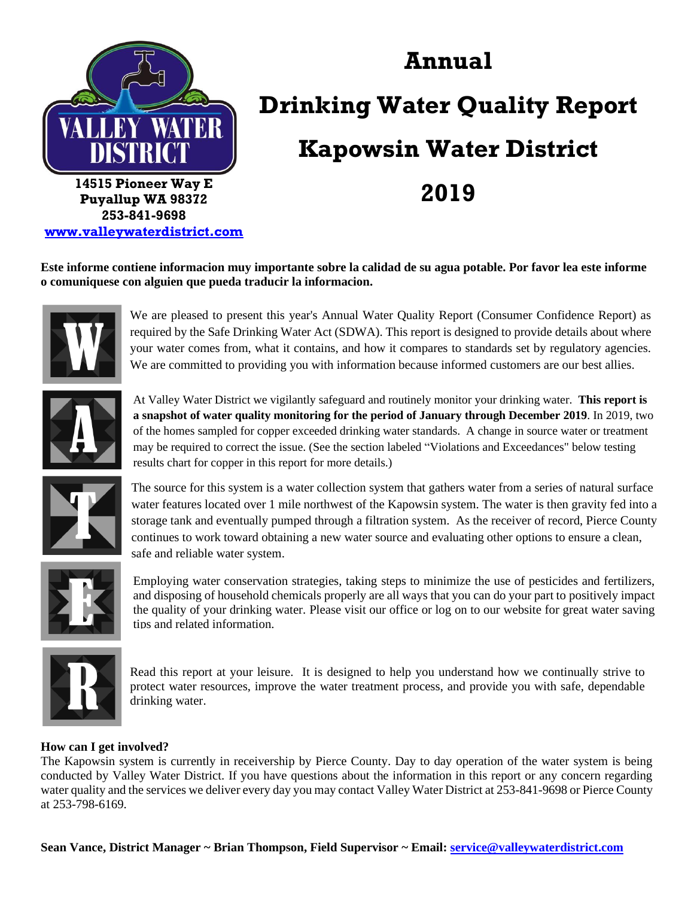

**[www.valleywaterdistrict.com](http://www.valleywaterdistrict.com/)**

# **Annual Drinking Water Quality Report Kapowsin Water District 2019**

**Este informe contiene informacion muy importante sobre la calidad de su agua potable. Por favor lea este informe o comuniquese con alguien que pueda traducir la informacion.**



We are pleased to present this year's Annual Water Quality Report (Consumer Confidence Report) as required by the Safe Drinking Water Act (SDWA). This report is designed to provide details about where your water comes from, what it contains, and how it compares to standards set by regulatory agencies. We are committed to providing you with information because informed customers are our best allies.



At Valley Water District we vigilantly safeguard and routinely monitor your drinking water. **This report is a snapshot of water quality monitoring for the period of January through December 2019**. In 2019, two of the homes sampled for copper exceeded drinking water standards. A change in source water or treatment may be required to correct the issue. (See the section labeled "Violations and Exceedances" below testing results chart for copper in this report for more details.)



The source for this system is a water collection system that gathers water from a series of natural surface water features located over 1 mile northwest of the Kapowsin system. The water is then gravity fed into a storage tank and eventually pumped through a filtration system. As the receiver of record, Pierce County continues to work toward obtaining a new water source and evaluating other options to ensure a clean, safe and reliable water system.



Employing water conservation strategies, taking steps to minimize the use of pesticides and fertilizers, and disposing of household chemicals properly are all ways that you can do your part to positively impact the quality of your drinking water. Please visit our office or log on to our website for great water saving tips and related information.



Read this report at your leisure. It is designed to help you understand how we continually strive to protect water resources, improve the water treatment process, and provide you with safe, dependable drinking water.

#### **How can I get involved?**

The Kapowsin system is currently in receivership by Pierce County. Day to day operation of the water system is being conducted by Valley Water District. If you have questions about the information in this report or any concern regarding water quality and the services we deliver every day you may contact Valley Water District at 253-841-9698 or Pierce County at 253-798-6169.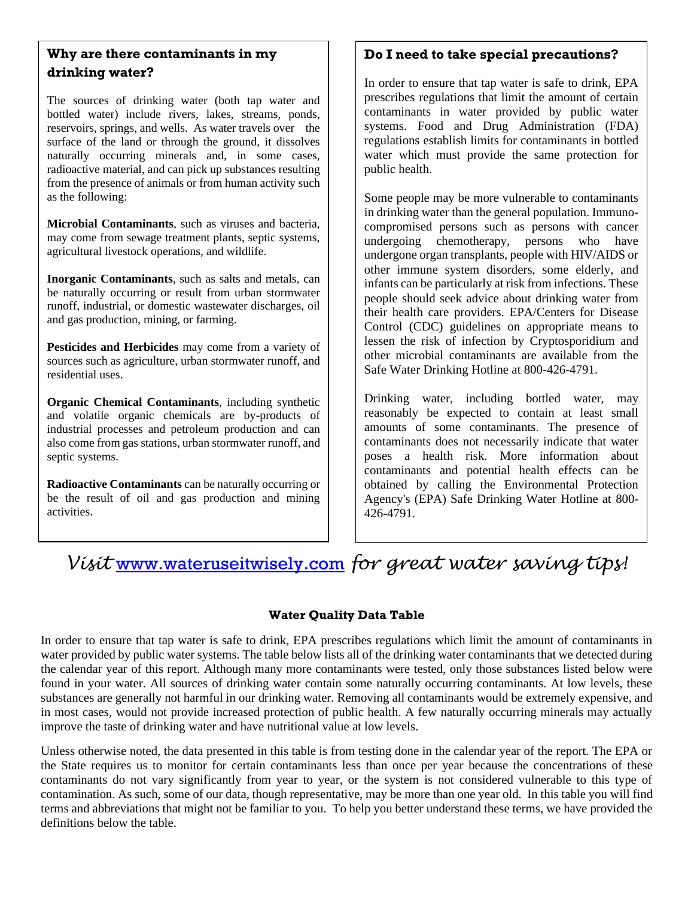### **Why are there contaminants in my drinking water?**

The sources of drinking water (both tap water and bottled water) include rivers, lakes, streams, ponds, reservoirs, springs, and wells. As water travels over the surface of the land or through the ground, it dissolves naturally occurring minerals and, in some cases, radioactive material, and can pick up substances resulting from the presence of animals or from human activity such as the following:

**Microbial Contaminants**, such as viruses and bacteria, may come from sewage treatment plants, septic systems, agricultural livestock operations, and wildlife.

**Inorganic Contaminants**, such as salts and metals, can be naturally occurring or result from urban stormwater runoff, industrial, or domestic wastewater discharges, oil and gas production, mining, or farming.

**Pesticides and Herbicides** may come from a variety of sources such as agriculture, urban stormwater runoff, and residential uses.

**Organic Chemical Contaminants**, including synthetic and volatile organic chemicals are by-products of industrial processes and petroleum production and can also come from gas stations, urban stormwater runoff, and septic systems.

**Radioactive Contaminants** can be naturally occurring or be the result of oil and gas production and mining activities.

# **Do I need to take special precautions?**

In order to ensure that tap water is safe to drink, EPA prescribes regulations that limit the amount of certain contaminants in water provided by public water systems. Food and Drug Administration (FDA) regulations establish limits for contaminants in bottled water which must provide the same protection for public health.

Some people may be more vulnerable to contaminants in drinking water than the general population. Immunocompromised persons such as persons with cancer undergoing chemotherapy, persons who have undergone organ transplants, people with HIV/AIDS or other immune system disorders, some elderly, and infants can be particularly at risk from infections. These people should seek advice about drinking water from their health care providers. EPA/Centers for Disease Control (CDC) guidelines on appropriate means to lessen the risk of infection by Cryptosporidium and other microbial contaminants are available from the Safe Water Drinking Hotline at 800-426-4791.

Drinking water, including bottled water, may reasonably be expected to contain at least small amounts of some contaminants. The presence of contaminants does not necessarily indicate that water poses a health risk. More information about contaminants and potential health effects can be obtained by calling the Environmental Protection Agency's (EPA) Safe Drinking Water Hotline at 800- 426-4791.

# *Visit* [www.wateruseitwisely.com](http://www.wateruseitwisely.com/) *for great water saving tips!*

# **Water Quality Data Table**

In order to ensure that tap water is safe to drink, EPA prescribes regulations which limit the amount of contaminants in water provided by public water systems. The table below lists all of the drinking water contaminants that we detected during the calendar year of this report. Although many more contaminants were tested, only those substances listed below were found in your water. All sources of drinking water contain some naturally occurring contaminants. At low levels, these substances are generally not harmful in our drinking water. Removing all contaminants would be extremely expensive, and in most cases, would not provide increased protection of public health. A few naturally occurring minerals may actually improve the taste of drinking water and have nutritional value at low levels.

Unless otherwise noted, the data presented in this table is from testing done in the calendar year of the report. The EPA or the State requires us to monitor for certain contaminants less than once per year because the concentrations of these contaminants do not vary significantly from year to year, or the system is not considered vulnerable to this type of contamination. As such, some of our data, though representative, may be more than one year old. In this table you will find terms and abbreviations that might not be familiar to you. To help you better understand these terms, we have provided the definitions below the table.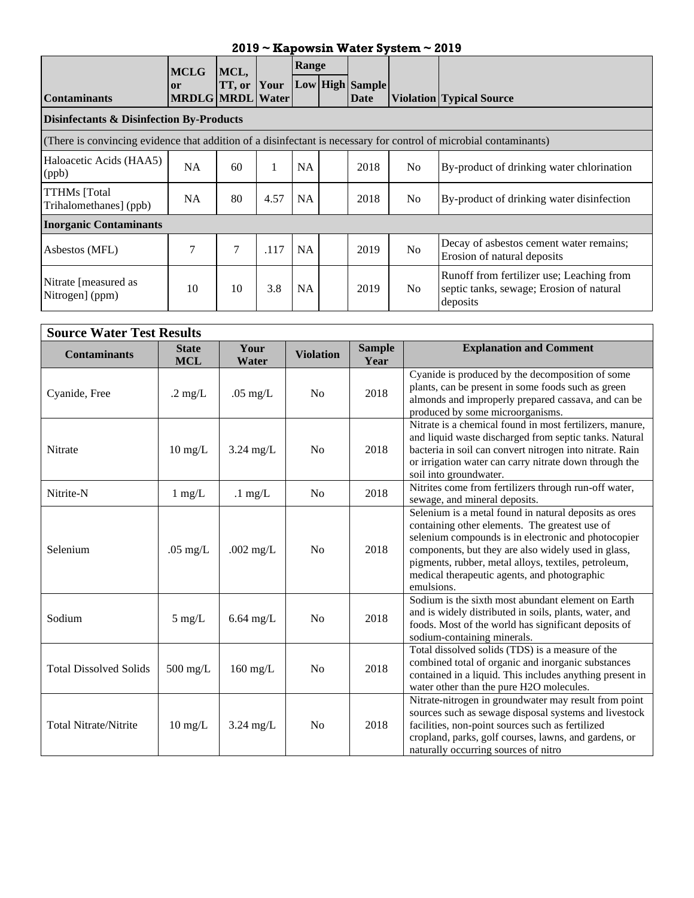| $2019 \sim$ Kapowsin Water System $\sim$ 2019                                                                     |                               |        |      |           |  |                         |                |                                                                                                   |
|-------------------------------------------------------------------------------------------------------------------|-------------------------------|--------|------|-----------|--|-------------------------|----------------|---------------------------------------------------------------------------------------------------|
|                                                                                                                   | <b>MCLG</b>                   | MCL,   |      | Range     |  |                         |                |                                                                                                   |
| <b>Contaminants</b>                                                                                               | or<br><b>MRDLG MRDL Water</b> | TT, or | Your |           |  | Low High Sample<br>Date |                | <b>Violation Typical Source</b>                                                                   |
| <b>Disinfectants &amp; Disinfection By-Products</b>                                                               |                               |        |      |           |  |                         |                |                                                                                                   |
| (There is convincing evidence that addition of a disinfectant is necessary for control of microbial contaminants) |                               |        |      |           |  |                         |                |                                                                                                   |
| Haloacetic Acids (HAA5)<br>(ppb)                                                                                  | <b>NA</b>                     | 60     |      | <b>NA</b> |  | 2018                    | N <sub>0</sub> | By-product of drinking water chlorination                                                         |
| <b>TTHMs</b> [Total<br>Trihalomethanes] (ppb)                                                                     | <b>NA</b>                     | 80     | 4.57 | <b>NA</b> |  | 2018                    | N <sub>o</sub> | By-product of drinking water disinfection                                                         |
| <b>Inorganic Contaminants</b>                                                                                     |                               |        |      |           |  |                         |                |                                                                                                   |
| Asbestos (MFL)                                                                                                    | 7                             | 7      | .117 | <b>NA</b> |  | 2019                    | N <sub>o</sub> | Decay of asbestos cement water remains;<br>Erosion of natural deposits                            |
| Nitrate [measured as<br>Nitrogen] (ppm)                                                                           | 10                            | 10     | 3.8  | <b>NA</b> |  | 2019                    | No.            | Runoff from fertilizer use; Leaching from<br>septic tanks, sewage; Erosion of natural<br>deposits |

| <b>Source Water Test Results</b> |                            |                   |                  |                       |                                                                                                                                                                                                                                                                                                                                             |
|----------------------------------|----------------------------|-------------------|------------------|-----------------------|---------------------------------------------------------------------------------------------------------------------------------------------------------------------------------------------------------------------------------------------------------------------------------------------------------------------------------------------|
| <b>Contaminants</b>              | <b>State</b><br><b>MCL</b> | Your<br>Water     | <b>Violation</b> | <b>Sample</b><br>Year | <b>Explanation and Comment</b>                                                                                                                                                                                                                                                                                                              |
| Cyanide, Free                    | $.2 \text{ mg/L}$          | $.05$ mg/L        | N <sub>o</sub>   | 2018                  | Cyanide is produced by the decomposition of some<br>plants, can be present in some foods such as green<br>almonds and improperly prepared cassava, and can be<br>produced by some microorganisms.                                                                                                                                           |
| Nitrate                          | $10 \text{ mg/L}$          | $3.24$ mg/L       | No               | 2018                  | Nitrate is a chemical found in most fertilizers, manure,<br>and liquid waste discharged from septic tanks. Natural<br>bacteria in soil can convert nitrogen into nitrate. Rain<br>or irrigation water can carry nitrate down through the<br>soil into groundwater.                                                                          |
| Nitrite-N                        | $1 \text{ mg/L}$           | $.1 \text{ mg/L}$ | N <sub>0</sub>   | 2018                  | Nitrites come from fertilizers through run-off water,<br>sewage, and mineral deposits.                                                                                                                                                                                                                                                      |
| Selenium                         | $.05$ mg/L                 | .002 $mg/L$       | N <sub>0</sub>   | 2018                  | Selenium is a metal found in natural deposits as ores<br>containing other elements. The greatest use of<br>selenium compounds is in electronic and photocopier<br>components, but they are also widely used in glass,<br>pigments, rubber, metal alloys, textiles, petroleum,<br>medical therapeutic agents, and photographic<br>emulsions. |
| Sodium                           | $5 \text{ mg/L}$           | $6.64$ mg/L       | N <sub>0</sub>   | 2018                  | Sodium is the sixth most abundant element on Earth<br>and is widely distributed in soils, plants, water, and<br>foods. Most of the world has significant deposits of<br>sodium-containing minerals.                                                                                                                                         |
| <b>Total Dissolved Solids</b>    | $500$ mg/L                 | $160$ mg/L        | N <sub>o</sub>   | 2018                  | Total dissolved solids (TDS) is a measure of the<br>combined total of organic and inorganic substances<br>contained in a liquid. This includes anything present in<br>water other than the pure H2O molecules.                                                                                                                              |
| <b>Total Nitrate/Nitrite</b>     | $10 \text{ mg/L}$          | $3.24$ mg/L       | N <sub>o</sub>   | 2018                  | Nitrate-nitrogen in groundwater may result from point<br>sources such as sewage disposal systems and livestock<br>facilities, non-point sources such as fertilized<br>cropland, parks, golf courses, lawns, and gardens, or<br>naturally occurring sources of nitro                                                                         |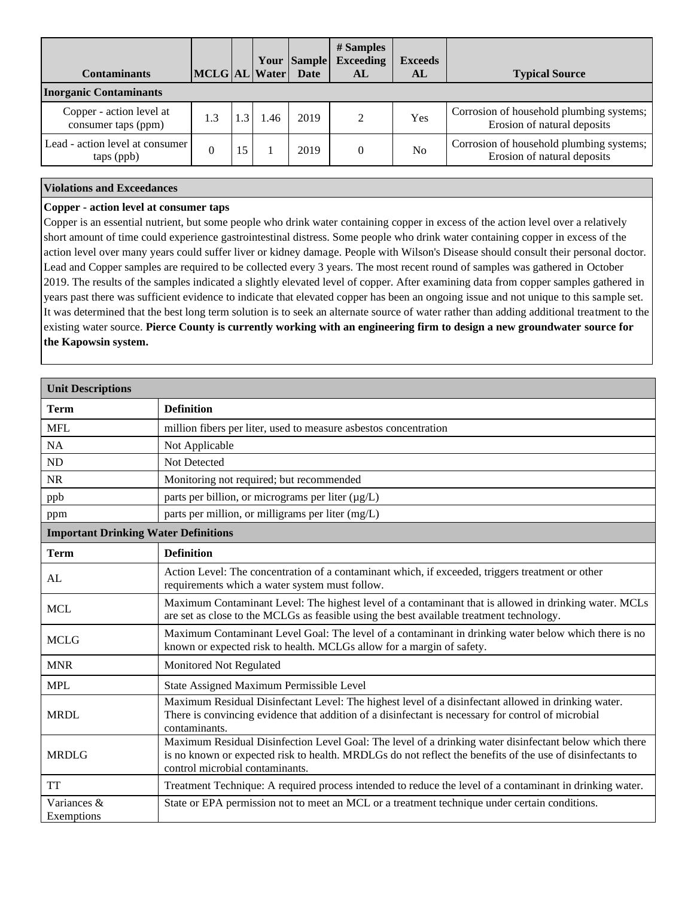| <b>Contaminants</b>                             | MCLG AL Water |    |     | Your Sample<br><b>Date</b> | # Samples<br><b>Exceeding</b><br>AL | <b>Exceeds</b><br>AL | <b>Typical Source</b>                                                   |
|-------------------------------------------------|---------------|----|-----|----------------------------|-------------------------------------|----------------------|-------------------------------------------------------------------------|
| <b>Inorganic Contaminants</b>                   |               |    |     |                            |                                     |                      |                                                                         |
| Copper - action level at<br>consumer taps (ppm) | 1.3           |    | .46 | 2019                       | $\mathcal{D}$                       | Yes                  | Corrosion of household plumbing systems;<br>Erosion of natural deposits |
| Lead - action level at consumer<br>taps (ppb)   |               | .5 |     | 2019                       | $\Omega$                            | N <sub>0</sub>       | Corrosion of household plumbing systems;<br>Erosion of natural deposits |

#### **Violations and Exceedances**

#### **Copper - action level at consumer taps**

Copper is an essential nutrient, but some people who drink water containing copper in excess of the action level over a relatively short amount of time could experience gastrointestinal distress. Some people who drink water containing copper in excess of the action level over many years could suffer liver or kidney damage. People with Wilson's Disease should consult their personal doctor. Lead and Copper samples are required to be collected every 3 years. The most recent round of samples was gathered in October 2019. The results of the samples indicated a slightly elevated level of copper. After examining data from copper samples gathered in years past there was sufficient evidence to indicate that elevated copper has been an ongoing issue and not unique to this sample set. It was determined that the best long term solution is to seek an alternate source of water rather than adding additional treatment to the existing water source. **Pierce County is currently working with an engineering firm to design a new groundwater source for the Kapowsin system.**

| <b>Unit Descriptions</b>                    |                                                                                                                                                                                                                                                        |  |  |  |  |  |  |
|---------------------------------------------|--------------------------------------------------------------------------------------------------------------------------------------------------------------------------------------------------------------------------------------------------------|--|--|--|--|--|--|
| <b>Term</b>                                 | <b>Definition</b>                                                                                                                                                                                                                                      |  |  |  |  |  |  |
| <b>MFL</b>                                  | million fibers per liter, used to measure asbestos concentration                                                                                                                                                                                       |  |  |  |  |  |  |
| NA                                          | Not Applicable                                                                                                                                                                                                                                         |  |  |  |  |  |  |
| ND                                          | Not Detected                                                                                                                                                                                                                                           |  |  |  |  |  |  |
| <b>NR</b>                                   | Monitoring not required; but recommended                                                                                                                                                                                                               |  |  |  |  |  |  |
| ppb                                         | parts per billion, or micrograms per liter $(\mu g/L)$                                                                                                                                                                                                 |  |  |  |  |  |  |
| ppm                                         | parts per million, or milligrams per liter (mg/L)                                                                                                                                                                                                      |  |  |  |  |  |  |
| <b>Important Drinking Water Definitions</b> |                                                                                                                                                                                                                                                        |  |  |  |  |  |  |
| <b>Term</b>                                 | <b>Definition</b>                                                                                                                                                                                                                                      |  |  |  |  |  |  |
| AL                                          | Action Level: The concentration of a contaminant which, if exceeded, triggers treatment or other<br>requirements which a water system must follow.                                                                                                     |  |  |  |  |  |  |
| <b>MCL</b>                                  | Maximum Contaminant Level: The highest level of a contaminant that is allowed in drinking water. MCLs<br>are set as close to the MCLGs as feasible using the best available treatment technology.                                                      |  |  |  |  |  |  |
| <b>MCLG</b>                                 | Maximum Contaminant Level Goal: The level of a contaminant in drinking water below which there is no<br>known or expected risk to health. MCLGs allow for a margin of safety.                                                                          |  |  |  |  |  |  |
| <b>MNR</b>                                  | Monitored Not Regulated                                                                                                                                                                                                                                |  |  |  |  |  |  |
| <b>MPL</b>                                  | State Assigned Maximum Permissible Level                                                                                                                                                                                                               |  |  |  |  |  |  |
| <b>MRDL</b>                                 | Maximum Residual Disinfectant Level: The highest level of a disinfectant allowed in drinking water.<br>There is convincing evidence that addition of a disinfectant is necessary for control of microbial<br>contaminants.                             |  |  |  |  |  |  |
| <b>MRDLG</b>                                | Maximum Residual Disinfection Level Goal: The level of a drinking water disinfectant below which there<br>is no known or expected risk to health. MRDLGs do not reflect the benefits of the use of disinfectants to<br>control microbial contaminants. |  |  |  |  |  |  |
| <b>TT</b>                                   | Treatment Technique: A required process intended to reduce the level of a contaminant in drinking water.                                                                                                                                               |  |  |  |  |  |  |
| Variances &<br>Exemptions                   | State or EPA permission not to meet an MCL or a treatment technique under certain conditions.                                                                                                                                                          |  |  |  |  |  |  |